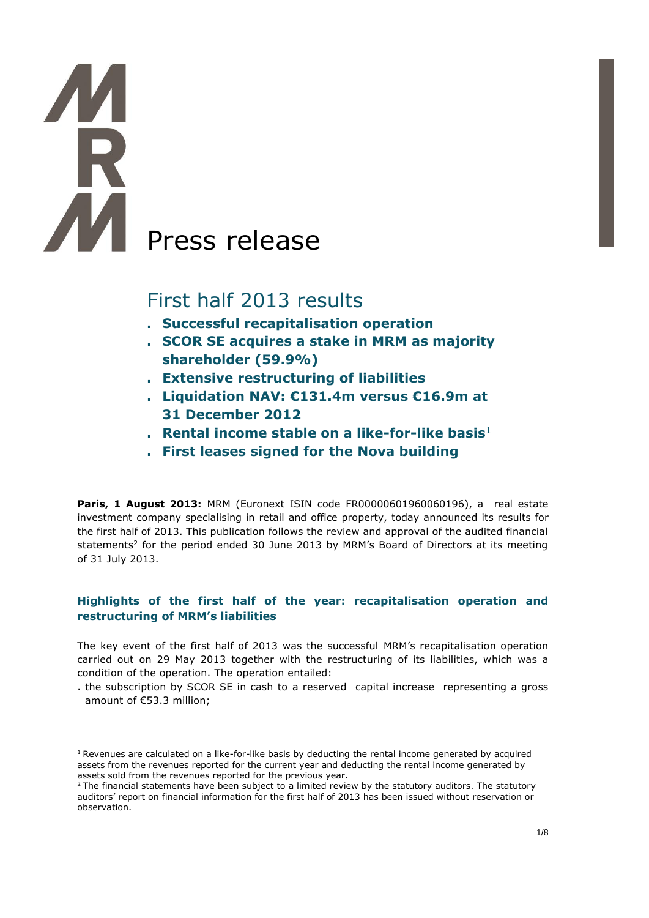# AM Press release

 $\overline{a}$ 

# First half 2013 results

- **. Successful recapitalisation operation**
- **. SCOR SE acquires a stake in MRM as majority shareholder (59.9%)**
- **. Extensive restructuring of liabilities**
- **. Liquidation NAV: €131.4m versus €16.9m at 31 December 2012**
- **. Rental income stable on a like-for-like basis**<sup>1</sup>
- **. First leases signed for the Nova building**

**Paris, 1 August 2013: MRM (Euronext ISIN code FR00000601960060196), a real estate** investment company specialising in retail and office property, today announced its results for the first half of 2013. This publication follows the review and approval of the audited financial statements<sup>2</sup> for the period ended 30 June 2013 by MRM's Board of Directors at its meeting of 31 July 2013.

## **Highlights of the first half of the year: recapitalisation operation and restructuring of MRM's liabilities**

The key event of the first half of 2013 was the successful MRM's recapitalisation operation carried out on 29 May 2013 together with the restructuring of its liabilities, which was a condition of the operation. The operation entailed:

<sup>.</sup> the subscription by SCOR SE in cash to a reserved capital increase representing a gross amount of €53.3 million;

<sup>&</sup>lt;sup>1</sup> Revenues are calculated on a like-for-like basis by deducting the rental income generated by acquired assets from the revenues reported for the current year and deducting the rental income generated by assets sold from the revenues reported for the previous year.

 $2$  The financial statements have been subject to a limited review by the statutory auditors. The statutory auditors' report on financial information for the first half of 2013 has been issued without reservation or observation.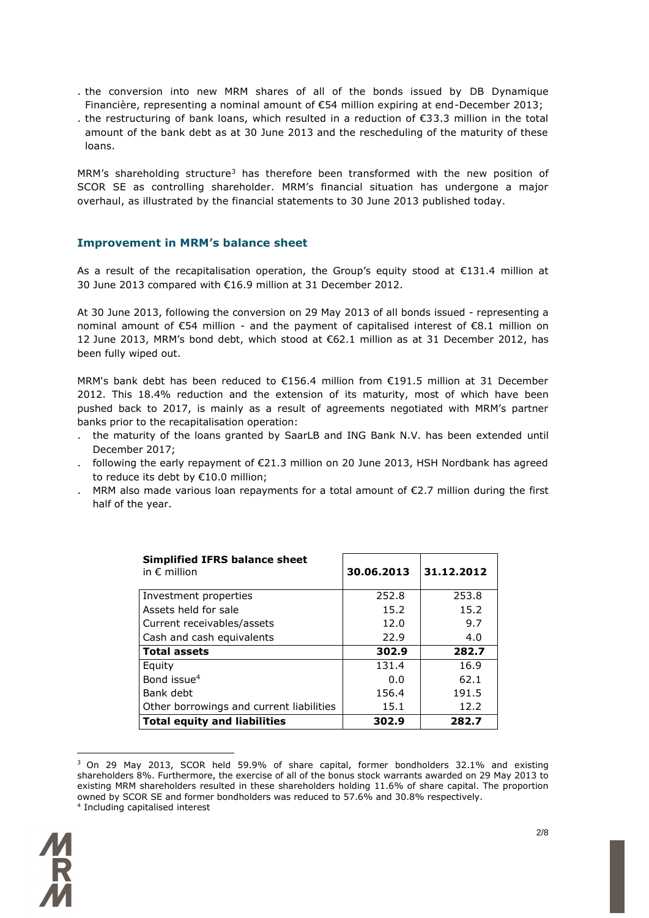- . the conversion into new MRM shares of all of the bonds issued by DB Dynamique Financière, representing a nominal amount of €54 million expiring at end-December 2013;
- . the restructuring of bank loans, which resulted in a reduction of €33.3 million in the total amount of the bank debt as at 30 June 2013 and the rescheduling of the maturity of these loans.

MRM's shareholding structure<sup>3</sup> has therefore been transformed with the new position of SCOR SE as controlling shareholder. MRM's financial situation has undergone a major overhaul, as illustrated by the financial statements to 30 June 2013 published today.

### **Improvement in MRM's balance sheet**

As a result of the recapitalisation operation, the Group's equity stood at €131.4 million at 30 June 2013 compared with €16.9 million at 31 December 2012.

At 30 June 2013, following the conversion on 29 May 2013 of all bonds issued - representing a nominal amount of €54 million - and the payment of capitalised interest of €8.1 million on 12 June 2013, MRM's bond debt, which stood at €62.1 million as at 31 December 2012, has been fully wiped out.

MRM's bank debt has been reduced to €156.4 million from €191.5 million at 31 December 2012. This 18.4% reduction and the extension of its maturity, most of which have been pushed back to 2017, is mainly as a result of agreements negotiated with MRM's partner banks prior to the recapitalisation operation:

- . the maturity of the loans granted by SaarLB and ING Bank N.V. has been extended until December 2017;
- . following the early repayment of €21.3 million on 20 June 2013, HSH Nordbank has agreed to reduce its debt by €10.0 million;
- . MRM also made various loan repayments for a total amount of  $\epsilon$ 2.7 million during the first half of the year.

| <b>Simplified IFRS balance sheet</b><br>in $\epsilon$ million | 30.06.2013 | 31.12.2012 |
|---------------------------------------------------------------|------------|------------|
| Investment properties                                         | 252.8      | 253.8      |
| Assets held for sale                                          | 15.2       | 15.2       |
| Current receivables/assets                                    | 12.0       | 9.7        |
| Cash and cash equivalents                                     | 22.9       | 4.0        |
| <b>Total assets</b>                                           | 302.9      | 282.7      |
| Equity                                                        | 131.4      | 16.9       |
| Bond issue <sup>4</sup>                                       | 0.0        | 62.1       |
| Bank debt                                                     | 156.4      | 191.5      |
| Other borrowings and current liabilities                      | 15.1       | 12.2       |
| <b>Total equity and liabilities</b>                           | 302.9      | 282.7      |

<sup>&</sup>lt;sup>3</sup> On 29 May 2013, SCOR held 59.9% of share capital, former bondholders 32.1% and existing shareholders 8%. Furthermore, the exercise of all of the bonus stock warrants awarded on 29 May 2013 to existing MRM shareholders resulted in these shareholders holding 11.6% of share capital. The proportion owned by SCOR SE and former bondholders was reduced to 57.6% and 30.8% respectively. 4 Including capitalised interest



 $\overline{a}$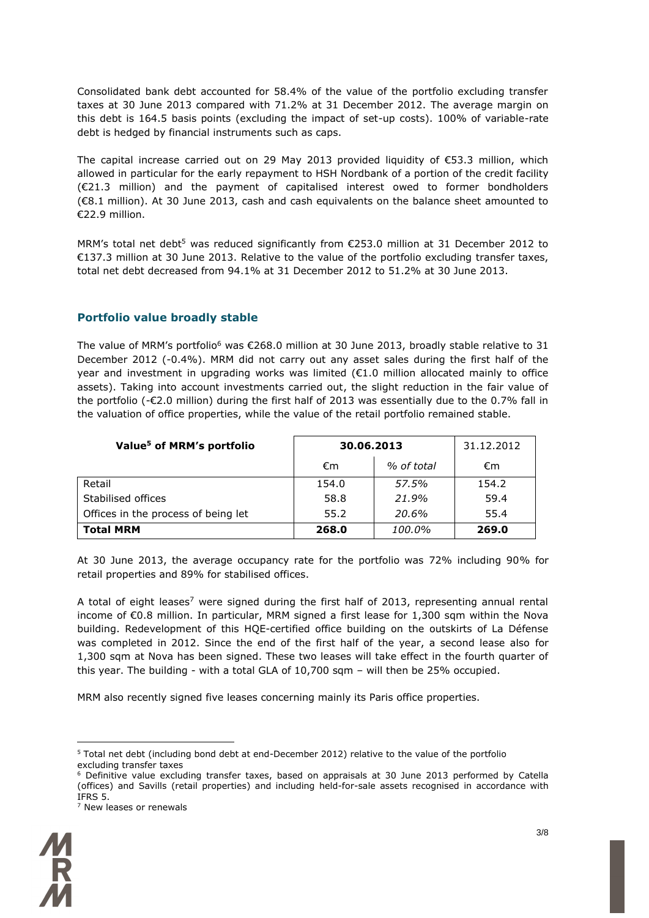Consolidated bank debt accounted for 58.4% of the value of the portfolio excluding transfer taxes at 30 June 2013 compared with 71.2% at 31 December 2012. The average margin on this debt is 164.5 basis points (excluding the impact of set-up costs). 100% of variable-rate debt is hedged by financial instruments such as caps.

The capital increase carried out on 29 May 2013 provided liquidity of €53.3 million, which allowed in particular for the early repayment to HSH Nordbank of a portion of the credit facility (€21.3 million) and the payment of capitalised interest owed to former bondholders (€8.1 million). At 30 June 2013, cash and cash equivalents on the balance sheet amounted to €22.9 million.

MRM's total net debt<sup>5</sup> was reduced significantly from  $\epsilon$ 253.0 million at 31 December 2012 to €137.3 million at 30 June 2013. Relative to the value of the portfolio excluding transfer taxes, total net debt decreased from 94.1% at 31 December 2012 to 51.2% at 30 June 2013.

### **Portfolio value broadly stable**

The value of MRM's portfolio<sup>6</sup> was €268.0 million at 30 June 2013, broadly stable relative to 31 December 2012 (-0.4%). MRM did not carry out any asset sales during the first half of the year and investment in upgrading works was limited ( $\epsilon$ 1.0 million allocated mainly to office assets). Taking into account investments carried out, the slight reduction in the fair value of the portfolio (-€2.0 million) during the first half of 2013 was essentially due to the 0.7% fall in the valuation of office properties, while the value of the retail portfolio remained stable.

| Value <sup>5</sup> of MRM's portfolio | 30.06.2013 | 31.12.2012 |       |
|---------------------------------------|------------|------------|-------|
|                                       | €m         | % of total | €m    |
| Retail                                | 154.0      | 57.5%      | 154.2 |
| Stabilised offices                    | 58.8       | 21.9%      | 59.4  |
| Offices in the process of being let   | 55.2       | 20.6%      | 55.4  |
| <b>Total MRM</b>                      | 268.0      | 100.0%     | 269.0 |

At 30 June 2013, the average occupancy rate for the portfolio was 72% including 90% for retail properties and 89% for stabilised offices.

A total of eight leases<sup>7</sup> were signed during the first half of 2013, representing annual rental income of €0.8 million. In particular, MRM signed a first lease for 1,300 sqm within the Nova building. Redevelopment of this HQE-certified office building on the outskirts of La Défense was completed in 2012. Since the end of the first half of the year, a second lease also for 1,300 sqm at Nova has been signed. These two leases will take effect in the fourth quarter of this year. The building - with a total GLA of 10,700 sqm – will then be 25% occupied.

MRM also recently signed five leases concerning mainly its Paris office properties.

<sup>7</sup> New leases or renewals



 $\overline{a}$ 

<sup>5</sup> Total net debt (including bond debt at end-December 2012) relative to the value of the portfolio excluding transfer taxes

<sup>&</sup>lt;sup>6</sup> Definitive value excluding transfer taxes, based on appraisals at 30 June 2013 performed by Catella (offices) and Savills (retail properties) and including held-for-sale assets recognised in accordance with IFRS 5.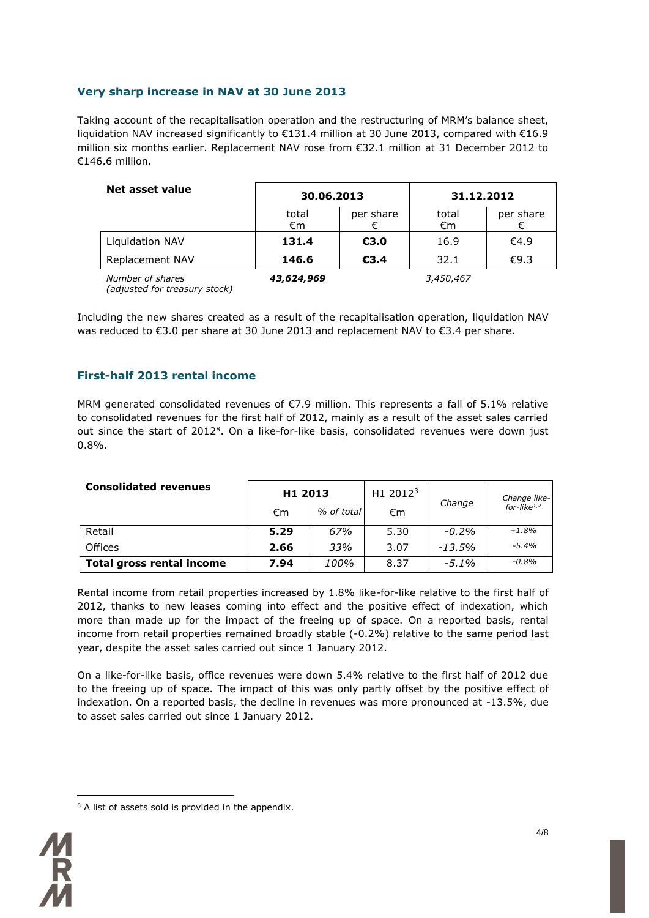### **Very sharp increase in NAV at 30 June 2013**

Taking account of the recapitalisation operation and the restructuring of MRM's balance sheet, liquidation NAV increased significantly to €131.4 million at 30 June 2013, compared with €16.9 million six months earlier. Replacement NAV rose from €32.1 million at 31 December 2012 to €146.6 million.

| Net asset value        |             | 30.06.2013 |             | 31.12.2012 |
|------------------------|-------------|------------|-------------|------------|
|                        | total<br>€m | per share  | total<br>€m | per share  |
| <b>Liquidation NAV</b> | 131.4       | €3.0       | 16.9        | €4.9       |
| Replacement NAV        | 146.6       | €3.4       | 32.1        | €9.3       |
| Number of shares       | 43,624,969  |            | 3,450,467   |            |

*(adjusted for treasury stock)*

Including the new shares created as a result of the recapitalisation operation, liquidation NAV was reduced to €3.0 per share at 30 June 2013 and replacement NAV to €3.4 per share.

### **First-half 2013 rental income**

MRM generated consolidated revenues of €7.9 million. This represents a fall of 5.1% relative to consolidated revenues for the first half of 2012, mainly as a result of the asset sales carried out since the start of 2012<sup>8</sup>. On a like-for-like basis, consolidated revenues were down just 0.8%.

| <b>Consolidated revenues</b>     | H1 2013 |            | H1 2012 $3$ |          |                                         |
|----------------------------------|---------|------------|-------------|----------|-----------------------------------------|
|                                  | €m      | % of total | €m          | Change   | Change like-<br>for-like <sup>1,2</sup> |
| Retail                           | 5.29    | 67%        | 5.30        | $-0.2\%$ | $+1.8%$                                 |
| <b>Offices</b>                   | 2.66    | 33%        | 3.07        | $-13.5%$ | $-5.4%$                                 |
| <b>Total gross rental income</b> | 7.94    | 100%       | 8.37        | $-5.1\%$ | $-0.8\%$                                |

Rental income from retail properties increased by 1.8% like-for-like relative to the first half of 2012, thanks to new leases coming into effect and the positive effect of indexation, which more than made up for the impact of the freeing up of space. On a reported basis, rental income from retail properties remained broadly stable (-0.2%) relative to the same period last year, despite the asset sales carried out since 1 January 2012.

On a like-for-like basis, office revenues were down 5.4% relative to the first half of 2012 due to the freeing up of space. The impact of this was only partly offset by the positive effect of indexation. On a reported basis, the decline in revenues was more pronounced at -13.5%, due to asset sales carried out since 1 January 2012.

 $\overline{a}$ <sup>8</sup> A list of assets sold is provided in the appendix.

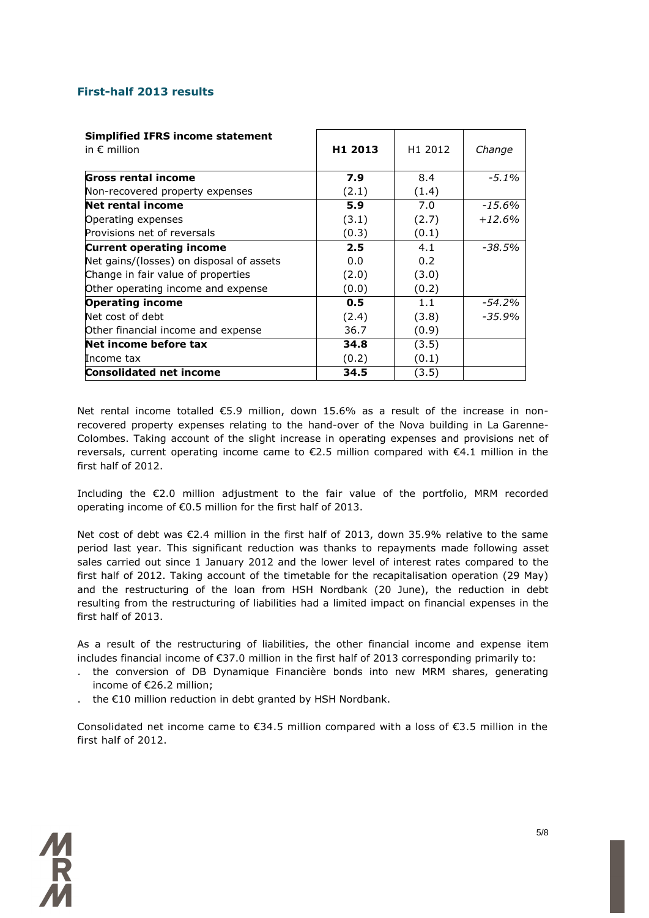### **First-half 2013 results**

| <b>Simplified IFRS income statement</b><br>in $\epsilon$ million | H1 2013 | H1 2012 | Change    |
|------------------------------------------------------------------|---------|---------|-----------|
| <b>Gross rental income</b>                                       | 7.9     | 8.4     | $-5.1\%$  |
| Non-recovered property expenses                                  | (2.1)   | (1.4)   |           |
| <b>Net rental income</b>                                         | 5.9     | 7.0     | -15.6%    |
| Operating expenses                                               | (3.1)   | (2.7)   | $+12.6%$  |
| Provisions net of reversals                                      | (0.3)   | (0.1)   |           |
| <b>Current operating income</b>                                  | 2.5     | 4.1     | -38.5%    |
| Net gains/(losses) on disposal of assets                         | 0.0     | 0.2     |           |
| Change in fair value of properties                               | (2.0)   | (3.0)   |           |
| Other operating income and expense                               | (0.0)   | (0.2)   |           |
| <b>Operating income</b>                                          | 0.5     | 1.1     | $-54.2%$  |
| Net cost of debt                                                 | (2.4)   | (3.8)   | $-35.9\%$ |
| Other financial income and expense                               | 36.7    | (0.9)   |           |
| Net income before tax                                            | 34.8    | (3.5)   |           |
| Income tax                                                       | (0.2)   | (0.1)   |           |
| <b>Consolidated net income</b>                                   | 34.5    | (3.5)   |           |

Net rental income totalled €5.9 million, down 15.6% as a result of the increase in nonrecovered property expenses relating to the hand-over of the Nova building in La Garenne-Colombes. Taking account of the slight increase in operating expenses and provisions net of reversals, current operating income came to €2.5 million compared with €4.1 million in the first half of 2012.

Including the €2.0 million adjustment to the fair value of the portfolio, MRM recorded operating income of €0.5 million for the first half of 2013.

Net cost of debt was €2.4 million in the first half of 2013, down 35.9% relative to the same period last year. This significant reduction was thanks to repayments made following asset sales carried out since 1 January 2012 and the lower level of interest rates compared to the first half of 2012. Taking account of the timetable for the recapitalisation operation (29 May) and the restructuring of the loan from HSH Nordbank (20 June), the reduction in debt resulting from the restructuring of liabilities had a limited impact on financial expenses in the first half of 2013.

As a result of the restructuring of liabilities, the other financial income and expense item includes financial income of €37.0 million in the first half of 2013 corresponding primarily to:

- . the conversion of DB Dynamique Financière bonds into new MRM shares, generating income of €26.2 million;
- . the €10 million reduction in debt granted by HSH Nordbank.

Consolidated net income came to  $\epsilon$ 34.5 million compared with a loss of  $\epsilon$ 3.5 million in the first half of 2012.

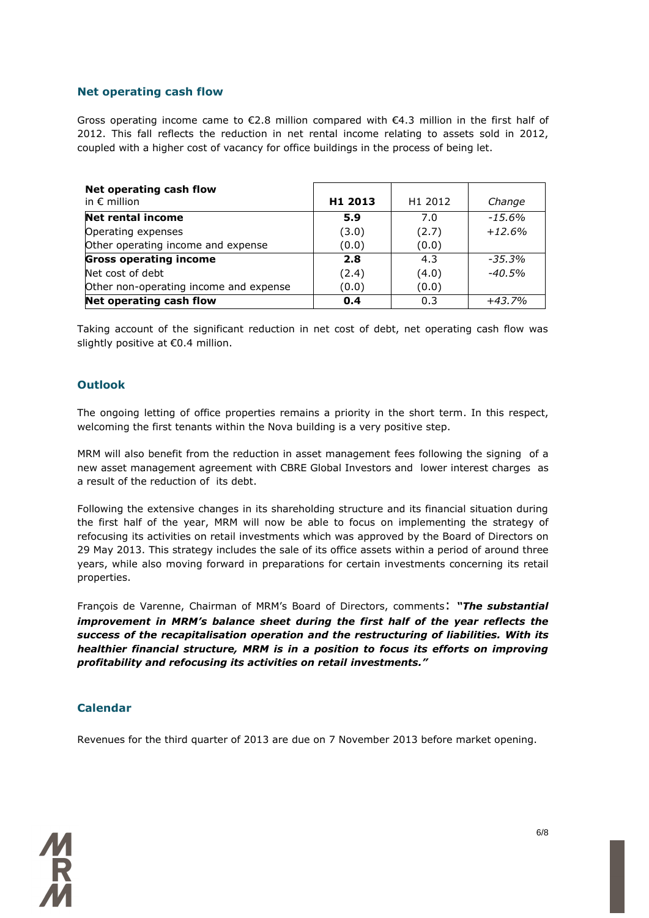### **Net operating cash flow**

Gross operating income came to  $\epsilon$ 2.8 million compared with  $\epsilon$ 4.3 million in the first half of 2012. This fall reflects the reduction in net rental income relating to assets sold in 2012, coupled with a higher cost of vacancy for office buildings in the process of being let.

| Net operating cash flow<br>in $\epsilon$ million | H1 2013 | H1 2012 | Change   |
|--------------------------------------------------|---------|---------|----------|
| <b>Net rental income</b>                         | 5.9     | 7.0     | $-15.6%$ |
| Operating expenses                               | (3.0)   | (2.7)   | $+12.6%$ |
| Other operating income and expense               | (0.0)   | (0.0)   |          |
| <b>Gross operating income</b>                    | 2.8     | 4.3     | -35.3%   |
| Net cost of debt                                 | (2.4)   | (4.0)   | $-40.5%$ |
| Other non-operating income and expense           | (0.0)   | (0.0)   |          |
| Net operating cash flow                          | 0.4     | 0.3     | $+43.7%$ |

Taking account of the significant reduction in net cost of debt, net operating cash flow was slightly positive at €0.4 million.

### **Outlook**

The ongoing letting of office properties remains a priority in the short term. In this respect, welcoming the first tenants within the Nova building is a very positive step.

MRM will also benefit from the reduction in asset management fees following the signing of a new asset management agreement with CBRE Global Investors and lower interest charges as a result of the reduction of its debt.

Following the extensive changes in its shareholding structure and its financial situation during the first half of the year, MRM will now be able to focus on implementing the strategy of refocusing its activities on retail investments which was approved by the Board of Directors on 29 May 2013. This strategy includes the sale of its office assets within a period of around three years, while also moving forward in preparations for certain investments concerning its retail properties.

François de Varenne, Chairman of MRM's Board of Directors, comments: *"The substantial improvement in MRM's balance sheet during the first half of the year reflects the success of the recapitalisation operation and the restructuring of liabilities. With its healthier financial structure, MRM is in a position to focus its efforts on improving profitability and refocusing its activities on retail investments."*

### **Calendar**

Revenues for the third quarter of 2013 are due on 7 November 2013 before market opening.

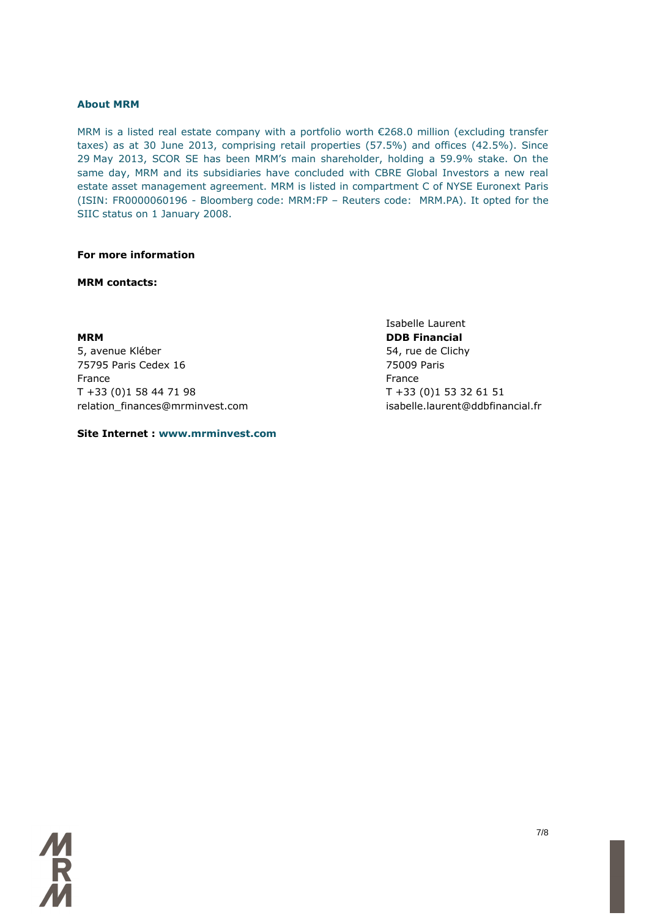### **About MRM**

MRM is a listed real estate company with a portfolio worth €268.0 million (excluding transfer taxes) as at 30 June 2013, comprising retail properties (57.5%) and offices (42.5%). Since 29 May 2013, SCOR SE has been MRM's main shareholder, holding a 59.9% stake. On the same day, MRM and its subsidiaries have concluded with CBRE Global Investors a new real estate asset management agreement. MRM is listed in compartment C of NYSE Euronext Paris (ISIN: FR0000060196 - Bloomberg code: MRM:FP – Reuters code: MRM.PA). It opted for the SIIC status on 1 January 2008.

### **For more information**

### **MRM contacts:**

**MRM DDB Financial** 5, avenue Kléber 65, avenue Kléber 1999, avenue Kléber 1999, suite de Clichy 75795 Paris Cedex 16 75009 Paris France **France France** T +33 (0)1 58 44 71 98 T +33 (0)1 53 32 61 51 relation\_finances@mrminvest.com isabelle.laurent@ddbfinancial.fr

### **Site Internet : www.mrminvest.com**

Isabelle Laurent